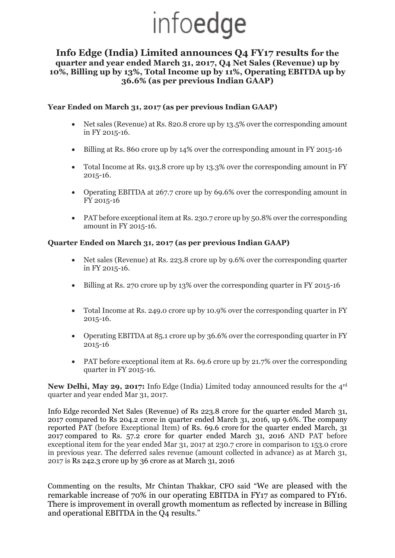# infoedge

## **Info Edge (India) Limited announces Q4 FY17 results for the quarter and year ended March 31, 2017, Q4 Net Sales (Revenue) up by 10%, Billing up by 13%, Total Income up by 11%, Operating EBITDA up by 36.6% (as per previous Indian GAAP)**

## **Year Ended on March 31, 2017 (as per previous Indian GAAP)**

- Net sales (Revenue) at Rs. 820.8 crore up by 13.5% over the corresponding amount in FY 2015-16.
- Billing at Rs. 860 crore up by 14% over the corresponding amount in FY 2015-16
- Total Income at Rs. 913.8 crore up by 13.3% over the corresponding amount in FY 2015-16.
- Operating EBITDA at 267.7 crore up by 69.6% over the corresponding amount in FY 2015-16
- PAT before exceptional item at Rs. 230.7 crore up by 50.8% over the corresponding amount in FY 2015-16.

#### **Quarter Ended on March 31, 2017 (as per previous Indian GAAP)**

- Net sales (Revenue) at Rs. 223.8 crore up by 9.6% over the corresponding quarter in FY 2015-16.
- Billing at Rs. 270 crore up by 13% over the corresponding quarter in FY 2015-16
- Total Income at Rs. 249.0 crore up by 10.9% over the corresponding quarter in FY 2015-16.
- Operating EBITDA at 85.1 crore up by 36.6% over the corresponding quarter in FY 2015-16
- PAT before exceptional item at Rs. 69.6 crore up by 21.7% over the corresponding quarter in FY 2015-16.

**New Delhi, May 29, 2017:** Info Edge (India) Limited today announced results for the 4rd quarter and year ended Mar 31, 2017.

Info Edge recorded Net Sales (Revenue) of Rs 223.8 crore for the quarter ended March 31, 2017 compared to Rs 204.2 crore in quarter ended March 31, 2016, up 9.6%. The company reported PAT (before Exceptional Item) of Rs. 69.6 crore for the quarter ended March, 31 2017 compared to Rs. 57.2 crore for quarter ended March 31, 2016 AND PAT before exceptional item for the year ended Mar 31, 2017 at 230.7 crore in comparison to 153.0 crore in previous year. The deferred sales revenue (amount collected in advance) as at March 31, 2017 is Rs 242.3 crore up by 36 crore as at March 31, 2016

Commenting on the results, Mr Chintan Thakkar, CFO said "We are pleased with the remarkable increase of 70% in our operating EBITDA in FY17 as compared to FY16. There is improvement in overall growth momentum as reflected by increase in Billing and operational EBITDA in the Q4 results."